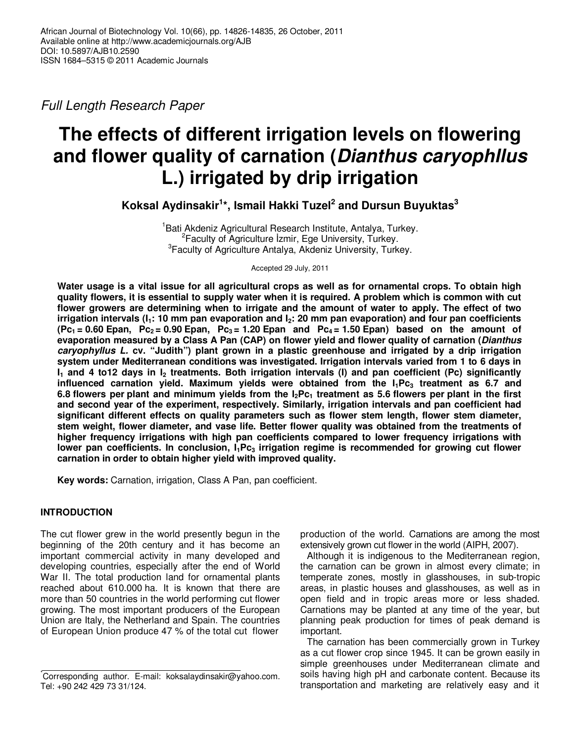Full Length Research Paper

# **The effects of different irrigation levels on flowering and flower quality of carnation (Dianthus caryophllus L.) irrigated by drip irrigation**

**Koksal Aydinsakir<sup>1</sup> \*, Ismail Hakki Tuzel<sup>2</sup> and Dursun Buyuktas<sup>3</sup>**

<sup>1</sup>Bati Akdeniz Agricultural Research Institute, Antalya, Turkey. <sup>2</sup> Faculty of Agriculture Izmir, Ege University, Turkey. <sup>3</sup> Faculty of Agriculture Antalya, Akdeniz University, Turkey.

Accepted 29 July, 2011

**Water usage is a vital issue for all agricultural crops as well as for ornamental crops. To obtain high quality flowers, it is essential to supply water when it is required. A problem which is common with cut flower growers are determining when to irrigate and the amount of water to apply. The effect of two irrigation intervals (I1: 10 mm pan evaporation and I2: 20 mm pan evaporation) and four pan coefficients (Pc1 = 0.60 Epan, Pc2 = 0.90 Epan, Pc3 = 1.20 Epan and Pc4 = 1.50 Epan) based on the amount of evaporation measured by a Class A Pan (CAP) on flower yield and flower quality of carnation (Dianthus caryophyllus L. cv. "Judith") plant grown in a plastic greenhouse and irrigated by a drip irrigation system under Mediterranean conditions was investigated. Irrigation intervals varied from 1 to 6 days in I1 and 4 to12 days in I2 treatments. Both irrigation intervals (I) and pan coefficient (Pc) significantly influenced carnation yield. Maximum yields were obtained from the I1Pc3 treatment as 6.7 and 6.8 flowers per plant and minimum yields from the I2Pc1 treatment as 5.6 flowers per plant in the first and second year of the experiment, respectively. Similarly, irrigation intervals and pan coefficient had significant different effects on quality parameters such as flower stem length, flower stem diameter, stem weight, flower diameter, and vase life. Better flower quality was obtained from the treatments of higher frequency irrigations with high pan coefficients compared to lower frequency irrigations with lower pan coefficients. In conclusion, I1Pc3 irrigation regime is recommended for growing cut flower carnation in order to obtain higher yield with improved quality.** 

**Key words:** Carnation, irrigation, Class A Pan, pan coefficient.

# **INTRODUCTION**

The cut flower grew in the world presently begun in the beginning of the 20th century and it has become an important commercial activity in many developed and developing countries, especially after the end of World War II. The total production land for ornamental plants reached about 610.000 ha. It is known that there are more than 50 countries in the world performing cut flower growing. The most important producers of the European Union are Italy, the Netherland and Spain. The countries of European Union produce 47 % of the total cut flower

production of the world. Carnations are among the most extensively grown cut flower in the world (AIPH, 2007).

Although it is indigenous to the Mediterranean region, the carnation can be grown in almost every climate; in temperate zones, mostly in glasshouses, in sub-tropic areas, in plastic houses and glasshouses, as well as in open field and in tropic areas more or less shaded. Carnations may be planted at any time of the year, but planning peak production for times of peak demand is important.

The carnation has been commercially grown in Turkey as a cut flower crop since 1945. It can be grown easily in simple greenhouses under Mediterranean climate and soils having high pH and carbonate content. Because its transportation and marketing are relatively easy and it

<sup>\*</sup>Corresponding author. E-mail: koksalaydinsakir@yahoo.com. Tel: +90 242 429 73 31/124.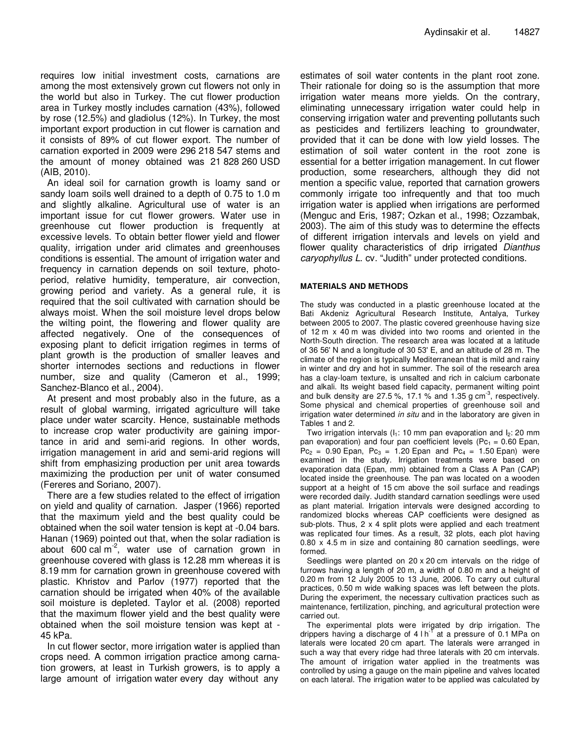requires low initial investment costs, carnations are among the most extensively grown cut flowers not only in the world but also in Turkey. The cut flower production area in Turkey mostly includes carnation (43%), followed by rose (12.5%) and gladiolus (12%). In Turkey, the most important export production in cut flower is carnation and it consists of 89% of cut flower export. The number of carnation exported in 2009 were 296 218 547 stems and the amount of money obtained was 21 828 260 USD (AIB, 2010).

An ideal soil for carnation growth is loamy sand or sandy loam soils well drained to a depth of 0.75 to 1.0 m and slightly alkaline. Agricultural use of water is an important issue for cut flower growers. Water use in greenhouse cut flower production is frequently at excessive levels. To obtain better flower yield and flower quality, irrigation under arid climates and greenhouses conditions is essential. The amount of irrigation water and frequency in carnation depends on soil texture, photoperiod, relative humidity, temperature, air convection, growing period and variety. As a general rule, it is required that the soil cultivated with carnation should be always moist. When the soil moisture level drops below the wilting point, the flowering and flower quality are affected negatively. One of the consequences of exposing plant to deficit irrigation regimes in terms of plant growth is the production of smaller leaves and shorter internodes sections and reductions in flower number, size and quality (Cameron et al., 1999; Sanchez-Blanco et al., 2004).

At present and most probably also in the future, as a result of global warming, irrigated agriculture will take place under water scarcity. Hence, sustainable methods to increase crop water productivity are gaining importance in arid and semi-arid regions. In other words, irrigation management in arid and semi-arid regions will shift from emphasizing production per unit area towards maximizing the production per unit of water consumed (Fereres and Soriano, 2007).

There are a few studies related to the effect of irrigation on yield and quality of carnation. Jasper (1966) reported that the maximum yield and the best quality could be obtained when the soil water tension is kept at -0.04 bars. Hanan (1969) pointed out that, when the solar radiation is about 600 cal  $m<sup>2</sup>$ , water use of carnation grown in greenhouse covered with glass is 12.28 mm whereas it is 8.19 mm for carnation grown in greenhouse covered with plastic. Khristov and Parlov (1977) reported that the carnation should be irrigated when 40% of the available soil moisture is depleted. Taylor et al. (2008) reported that the maximum flower yield and the best quality were obtained when the soil moisture tension was kept at - 45 kPa.

In cut flower sector, more irrigation water is applied than crops need. A common irrigation practice among carnation growers, at least in Turkish growers, is to apply a large amount of irrigation water every day without any

estimates of soil water contents in the plant root zone. Their rationale for doing so is the assumption that more irrigation water means more yields. On the contrary, eliminating unnecessary irrigation water could help in conserving irrigation water and preventing pollutants such as pesticides and fertilizers leaching to groundwater, provided that it can be done with low yield losses. The estimation of soil water content in the root zone is essential for a better irrigation management. In cut flower production, some researchers, although they did not mention a specific value, reported that carnation growers commonly irrigate too infrequently and that too much irrigation water is applied when irrigations are performed (Menguc and Eris, 1987; Ozkan et al., 1998; Ozzambak, 2003). The aim of this study was to determine the effects of different irrigation intervals and levels on yield and flower quality characteristics of drip irrigated Dianthus caryophyllus L. cv. "Judith" under protected conditions.

#### **MATERIALS AND METHODS**

The study was conducted in a plastic greenhouse located at the Bati Akdeniz Agricultural Research Institute, Antalya, Turkey between 2005 to 2007. The plastic covered greenhouse having size of 12 m x 40 m was divided into two rooms and oriented in the North-South direction. The research area was located at a latitude of 36 56' N and a longitude of 30 53' E, and an altitude of 28 m. The climate of the region is typically Mediterranean that is mild and rainy in winter and dry and hot in summer. The soil of the research area has a clay-loam texture, is unsalted and rich in calcium carbonate and alkali. Its weight based field capacity, permanent wilting point and bulk density are 27.5 %, 17.1 % and 1.35 g  $cm^{-3}$ , respectively. Some physical and chemical properties of greenhouse soil and irrigation water determined *in situ* and in the laboratory are given in Tables 1 and 2.

Two irrigation intervals ( $I_1$ : 10 mm pan evaporation and  $I_2$ : 20 mm pan evaporation) and four pan coefficient levels (Pc<sub>1</sub> = 0.60 Epan,  $Pc_2 = 0.90$  Epan,  $Pc_3 = 1.20$  Epan and  $Pc_4 = 1.50$  Epan) were examined in the study. Irrigation treatments were based on evaporation data (Epan, mm) obtained from a Class A Pan (CAP) located inside the greenhouse. The pan was located on a wooden support at a height of 15 cm above the soil surface and readings were recorded daily. Judith standard carnation seedlings were used as plant material. Irrigation intervals were designed according to randomized blocks whereas CAP coefficients were designed as sub-plots. Thus, 2 x 4 split plots were applied and each treatment was replicated four times. As a result, 32 plots, each plot having 0.80 x 4.5 m in size and containing 80 carnation seedlings, were formed.

Seedlings were planted on 20 x 20 cm intervals on the ridge of furrows having a length of 20 m, a width of 0.80 m and a height of 0.20 m from 12 July 2005 to 13 June, 2006. To carry out cultural practices, 0.50 m wide walking spaces was left between the plots. During the experiment, the necessary cultivation practices such as maintenance, fertilization, pinching, and agricultural protection were carried out.

The experimental plots were irrigated by drip irrigation. The drippers having a discharge of  $4 \, h^{-1}$  at a pressure of 0.1 MPa on laterals were located 20 cm apart. The laterals were arranged in such a way that every ridge had three laterals with 20 cm intervals. The amount of irrigation water applied in the treatments was controlled by using a gauge on the main pipeline and valves located on each lateral. The irrigation water to be applied was calculated by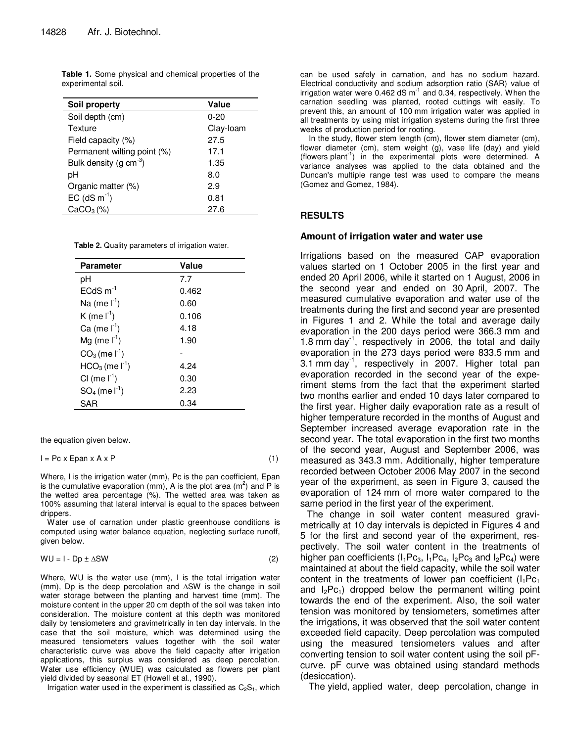| Soil property                | Value     |
|------------------------------|-----------|
| Soil depth (cm)              | $0 - 20$  |
| Texture                      | Clay-loam |
| Field capacity (%)           | 27.5      |
| Permanent wilting point (%)  | 17.1      |
| Bulk density (g cm $^{-3}$ ) | 1.35      |
| pН                           | 8.0       |
| Organic matter (%)           | 2.9       |
| EC $(dS m^{-1})$             | 0.81      |
| CaCO <sub>3</sub> (%)        | 27.6      |

**Table 1.** Some physical and chemical properties of the experimental soil.

**Table 2.** Quality parameters of irrigation water.

| Value |  |
|-------|--|
| 7.7   |  |
| 0.462 |  |
| 0.60  |  |
| 0.106 |  |
| 4.18  |  |
| 1.90  |  |
|       |  |
| 4.24  |  |
| 0.30  |  |
| 2.23  |  |
| 0.34  |  |
|       |  |

the equation given below.

| I = Pc x Epan x A x P |  |
|-----------------------|--|
|                       |  |

Where, I is the irrigation water (mm), Pc is the pan coefficient, Epan is the cumulative evaporation (mm), A is the plot area ( $m^2$ ) and P is the wetted area percentage (%). The wetted area was taken as 100% assuming that lateral interval is equal to the spaces between drippers.

Water use of carnation under plastic greenhouse conditions is computed using water balance equation, neglecting surface runoff, given below.

$$
WU = I - Dp \pm \Delta SW \tag{2}
$$

Where, WU is the water use (mm), I is the total irrigation water (mm), Dp is the deep percolation and ∆SW is the change in soil water storage between the planting and harvest time (mm). The moisture content in the upper 20 cm depth of the soil was taken into consideration. The moisture content at this depth was monitored daily by tensiometers and gravimetrically in ten day intervals. In the case that the soil moisture, which was determined using the measured tensiometers values together with the soil water characteristic curve was above the field capacity after irrigation applications, this surplus was considered as deep percolation. Water use efficiency (WUE) was calculated as flowers per plant yield divided by seasonal ET (Howell et al., 1990).

Irrigation water used in the experiment is classified as  $C_2S_1$ , which

can be used safely in carnation, and has no sodium hazard. Electrical conductivity and sodium adsorption ratio (SAR) value of irrigation water were  $0.462$  dS  $m^{-1}$  and 0.34, respectively. When the carnation seedling was planted, rooted cuttings wilt easily. To prevent this, an amount of 100 mm irrigation water was applied in all treatments by using mist irrigation systems during the first three weeks of production period for rooting.

In the study, flower stem length (cm), flower stem diameter (cm), flower diameter (cm), stem weight (g), vase life (day) and yield (flowers plant-1) in the experimental plots were determined. A variance analyses was applied to the data obtained and the Duncan's multiple range test was used to compare the means (Gomez and Gomez, 1984).

## **RESULTS**

#### **Amount of irrigation water and water use**

Irrigations based on the measured CAP evaporation values started on 1 October 2005 in the first year and ended 20 April 2006, while it started on 1 August, 2006 in the second year and ended on 30 April, 2007. The measured cumulative evaporation and water use of the treatments during the first and second year are presented in Figures 1 and 2. While the total and average daily evaporation in the 200 days period were 366.3 mm and 1.8 mm day $^{-1}$ , respectively in 2006, the total and daily evaporation in the 273 days period were 833.5 mm and 3.1 mm day<sup>-1</sup>, respectively in 2007. Higher total pan evaporation recorded in the second year of the experiment stems from the fact that the experiment started two months earlier and ended 10 days later compared to the first year. Higher daily evaporation rate as a result of higher temperature recorded in the months of August and September increased average evaporation rate in the second year. The total evaporation in the first two months of the second year, August and September 2006, was measured as 343.3 mm. Additionally, higher temperature recorded between October 2006 May 2007 in the second year of the experiment, as seen in Figure 3, caused the evaporation of 124 mm of more water compared to the same period in the first year of the experiment.

The change in soil water content measured gravimetrically at 10 day intervals is depicted in Figures 4 and 5 for the first and second year of the experiment, respectively. The soil water content in the treatments of higher pan coefficients  $(I_1Pc_3, I_1Pc_4, I_2Pc_3$  and  $I_2Pc_4$ ) were maintained at about the field capacity, while the soil water content in the treatments of lower pan coefficient  $(I_1Pc_1)$ and  $I_2Pc_1$ ) dropped below the permanent wilting point towards the end of the experiment. Also, the soil water tension was monitored by tensiometers, sometimes after the irrigations, it was observed that the soil water content exceeded field capacity. Deep percolation was computed using the measured tensiometers values and after converting tension to soil water content using the soil pFcurve. pF curve was obtained using standard methods (desiccation).

The yield, applied water, deep percolation, change in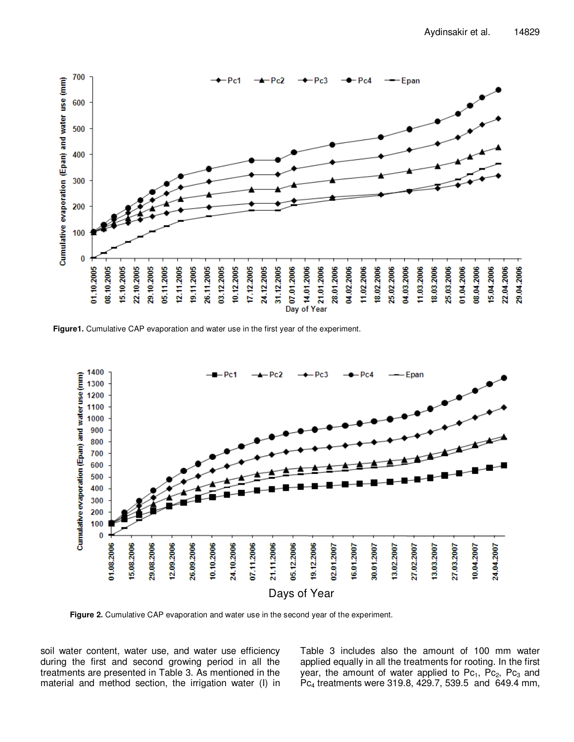

**Figure1.** Cumulative CAP evaporation and water use in the first year of the experiment.



**Figure 2.** Cumulative CAP evaporation and water use in the second year of the experiment.

soil water content, water use, and water use efficiency during the first and second growing period in all the treatments are presented in Table 3. As mentioned in the material and method section, the irrigation water (I) in Table 3 includes also the amount of 100 mm water applied equally in all the treatments for rooting. In the first year, the amount of water applied to  $Pc_1$ ,  $Pc_2$ ,  $Pc_3$  and Pc4 treatments were 319.8, 429.7, 539.5 and 649.4 mm,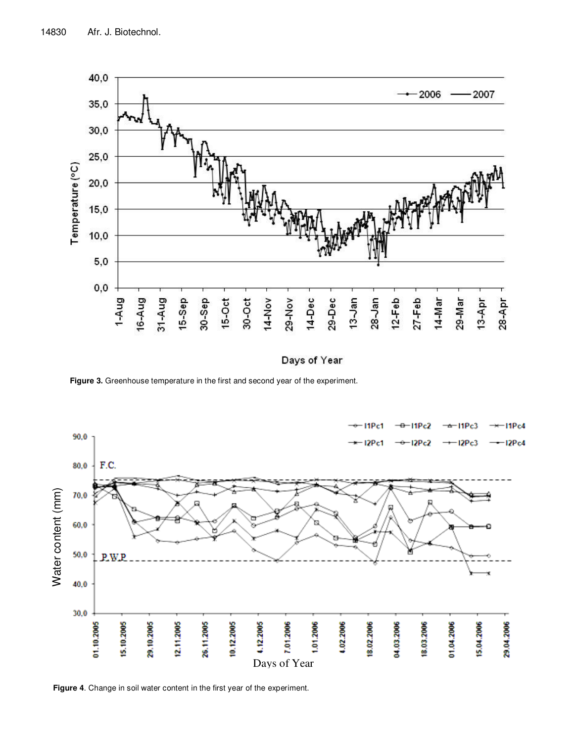

Days of Year

**Figure 3.** Greenhouse temperature in the first and second year of the experiment.



**Figure 4**. Change in soil water content in the first year of the experiment.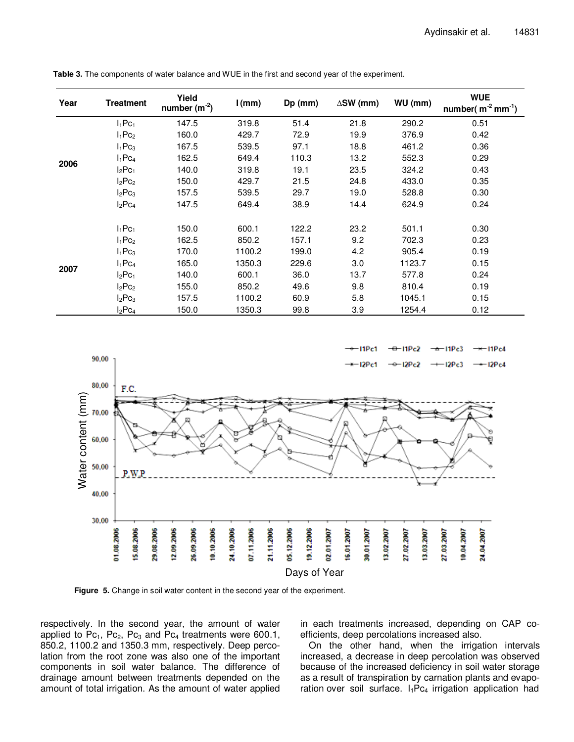| Year | <b>Treatment</b>      | Yield<br>number $(m^{-2})$ | $l$ (mm) | Dp (mm) | $\triangle$ SW (mm) | WU (mm) | <b>WUE</b><br>number( $m^{-2}$ mm <sup>-1</sup> ) |
|------|-----------------------|----------------------------|----------|---------|---------------------|---------|---------------------------------------------------|
|      | $I_1Pc_1$             | 147.5                      | 319.8    | 51.4    | 21.8                | 290.2   | 0.51                                              |
|      | $I_1Pc_2$             | 160.0                      | 429.7    | 72.9    | 19.9                | 376.9   | 0.42                                              |
|      | $I_1Pc_3$             | 167.5                      | 539.5    | 97.1    | 18.8                | 461.2   | 0.36                                              |
| 2006 | $I_1$ Pc <sub>4</sub> | 162.5                      | 649.4    | 110.3   | 13.2                | 552.3   | 0.29                                              |
|      | $I_2Pc_1$             | 140.0                      | 319.8    | 19.1    | 23.5                | 324.2   | 0.43                                              |
|      | $I_2Pc_2$             | 150.0                      | 429.7    | 21.5    | 24.8                | 433.0   | 0.35                                              |
|      | $I_2Pc_3$             | 157.5                      | 539.5    | 29.7    | 19.0                | 528.8   | 0.30                                              |
|      | $I_2$ Pc <sub>4</sub> | 147.5                      | 649.4    | 38.9    | 14.4                | 624.9   | 0.24                                              |
|      | $I_1$ Pc <sub>1</sub> | 150.0                      | 600.1    | 122.2   | 23.2                | 501.1   | 0.30                                              |
|      | $I_1Pc_2$             | 162.5                      | 850.2    | 157.1   | 9.2                 | 702.3   | 0.23                                              |
|      | $I_1Pc_3$             | 170.0                      | 1100.2   | 199.0   | 4.2                 | 905.4   | 0.19                                              |
|      | $I_1$ Pc <sub>4</sub> | 165.0                      | 1350.3   | 229.6   | 3.0                 | 1123.7  | 0.15                                              |
| 2007 | $I_2$ Pc <sub>1</sub> | 140.0                      | 600.1    | 36.0    | 13.7                | 577.8   | 0.24                                              |
|      | $I_2Pc_2$             | 155.0                      | 850.2    | 49.6    | 9.8                 | 810.4   | 0.19                                              |
|      | $I_2Pc_3$             | 157.5                      | 1100.2   | 60.9    | 5.8                 | 1045.1  | 0.15                                              |
|      | $I_2$ Pc <sub>4</sub> | 150.0                      | 1350.3   | 99.8    | 3.9                 | 1254.4  | 0.12                                              |

**Table 3.** The components of water balance and WUE in the first and second year of the experiment.



**Figure 5.** Change in soil water content in the second year of the experiment.

respectively. In the second year, the amount of water applied to  $Pc_1$ ,  $Pc_2$ ,  $Pc_3$  and  $Pc_4$  treatments were 600.1, 850.2, 1100.2 and 1350.3 mm, respectively. Deep percolation from the root zone was also one of the important components in soil water balance. The difference of drainage amount between treatments depended on the amount of total irrigation. As the amount of water applied in each treatments increased, depending on CAP coefficients, deep percolations increased also.

On the other hand, when the irrigation intervals increased, a decrease in deep percolation was observed because of the increased deficiency in soil water storage as a result of transpiration by carnation plants and evaporation over soil surface.  $I_1Pc_4$  irrigation application had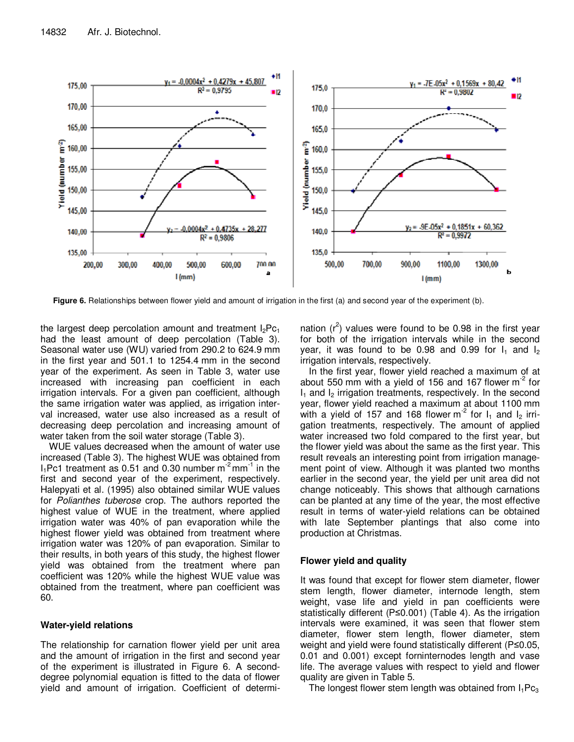

**Figure 6.** Relationships between flower yield and amount of irrigation in the first (a) and second year of the experiment (b).

the largest deep percolation amount and treatment  $I_2PC_1$ had the least amount of deep percolation (Table 3). Seasonal water use (WU) varied from 290.2 to 624.9 mm in the first year and 501.1 to 1254.4 mm in the second year of the experiment. As seen in Table 3, water use increased with increasing pan coefficient in each irrigation intervals. For a given pan coefficient, although the same irrigation water was applied, as irrigation interval increased, water use also increased as a result of decreasing deep percolation and increasing amount of water taken from the soil water storage (Table 3).

WUE values decreased when the amount of water use increased (Table 3). The highest WUE was obtained from  $I_1$ Pc1 treatment as 0.51 and 0.30 number  $m<sup>-2</sup>$  mm<sup>-1</sup> in the first and second year of the experiment, respectively. Halepyati et al. (1995) also obtained similar WUE values for Polianthes tuberose crop. The authors reported the highest value of WUE in the treatment, where applied irrigation water was 40% of pan evaporation while the highest flower yield was obtained from treatment where irrigation water was 120% of pan evaporation. Similar to their results, in both years of this study, the highest flower yield was obtained from the treatment where pan coefficient was 120% while the highest WUE value was obtained from the treatment, where pan coefficient was 60.

# **Water-yield relations**

The relationship for carnation flower yield per unit area and the amount of irrigation in the first and second year of the experiment is illustrated in Figure 6. A seconddegree polynomial equation is fitted to the data of flower yield and amount of irrigation. Coefficient of determi-

nation  $(r^2)$  values were found to be 0.98 in the first year for both of the irrigation intervals while in the second year, it was found to be 0.98 and 0.99 for  $I_1$  and  $I_2$ irrigation intervals, respectively.

In the first year, flower yield reached a maximum of at about 550 mm with a yield of 156 and 167 flower  $m<sup>2</sup>$  for  $I_1$  and  $I_2$  irrigation treatments, respectively. In the second year, flower yield reached a maximum at about 1100 mm with a yield of 157 and 168 flower  $m<sup>-2</sup>$  for  $I_1$  and  $I_2$  irrigation treatments, respectively. The amount of applied water increased two fold compared to the first year, but the flower yield was about the same as the first year. This result reveals an interesting point from irrigation management point of view. Although it was planted two months earlier in the second year, the yield per unit area did not change noticeably. This shows that although carnations can be planted at any time of the year, the most effective result in terms of water-yield relations can be obtained with late September plantings that also come into production at Christmas.

# **Flower yield and quality**

It was found that except for flower stem diameter, flower stem length, flower diameter, internode length, stem weight, vase life and yield in pan coefficients were statistically different (P≤0.001) (Table 4). As the irrigation intervals were examined, it was seen that flower stem diameter, flower stem length, flower diameter, stem weight and yield were found statistically different (P≤0.05, 0.01 and 0.001) except forninternodes length and vase life. The average values with respect to yield and flower quality are given in Table 5.

The longest flower stem length was obtained from  $I_1Pc_3$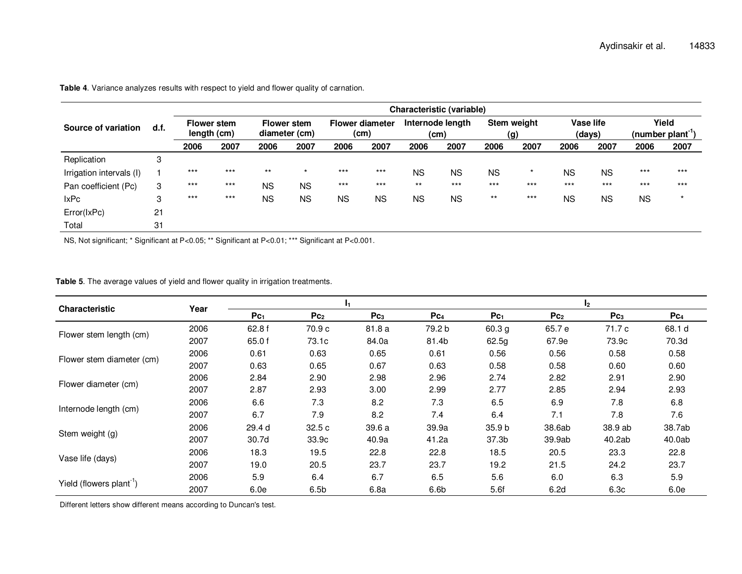**Table 4**. Variance analyzes results with respect to yield and flower quality of carnation.

|                          |      | Characteristic (variable) |                                   |           |                                     |           |                                |           |                          |           |                    |           |                     |           |                             |
|--------------------------|------|---------------------------|-----------------------------------|-----------|-------------------------------------|-----------|--------------------------------|-----------|--------------------------|-----------|--------------------|-----------|---------------------|-----------|-----------------------------|
| Source of variation      | d.f. |                           | <b>Flower stem</b><br>length (cm) |           | <b>Flower stem</b><br>diameter (cm) |           | <b>Flower diameter</b><br>(cm) |           | Internode length<br>(cm) |           | Stem weight<br>(g) |           | Vase life<br>(days) |           | Yield<br>$(number plant-1)$ |
|                          |      | 2006                      | 2007                              | 2006      | 2007                                | 2006      | 2007                           | 2006      | 2007                     | 2006      | 2007               | 2006      | 2007                | 2006      | 2007                        |
| Replication              | 3    |                           |                                   |           |                                     |           |                                |           |                          |           |                    |           |                     |           |                             |
| Irrigation intervals (I) |      | $***$                     | $***$                             | $***$     | $\star$                             | $***$     | $***$                          | <b>NS</b> | <b>NS</b>                | <b>NS</b> | $\star$            | NS        | <b>NS</b>           | $***$     | $***$                       |
| Pan coefficient (Pc)     | 3    | $***$                     | $***$                             | <b>NS</b> | <b>NS</b>                           | $***$     | $***$                          | $***$     | $***$                    | $***$     | $***$              | $***$     | $***$               | $***$     | $***$                       |
| <b>IxPc</b>              | 3    | $***$                     | $***$                             | <b>NS</b> | <b>NS</b>                           | <b>NS</b> | <b>NS</b>                      | <b>NS</b> | <b>NS</b>                | $***$     | $***$              | <b>NS</b> | <b>NS</b>           | <b>NS</b> | $\star$                     |
| Error(IxPc)              | 21   |                           |                                   |           |                                     |           |                                |           |                          |           |                    |           |                     |           |                             |
| Total                    | 31   |                           |                                   |           |                                     |           |                                |           |                          |           |                    |           |                     |           |                             |

NS, Not significant; \* Significant at P<0.05; \*\* Significant at P<0.01; \*\*\* Significant at P<0.001.

#### **Table 5**. The average values of yield and flower quality in irrigation treatments.

| <b>Characteristic</b>                |      |           |                  | I1.             |                  | I <sub>2</sub>    |                 |                  |                 |  |
|--------------------------------------|------|-----------|------------------|-----------------|------------------|-------------------|-----------------|------------------|-----------------|--|
|                                      | Year | $P_{C_1}$ | Pc <sub>2</sub>  | Pc <sub>3</sub> | Pc <sub>4</sub>  | $P_{C_1}$         | Pc <sub>2</sub> | Pc <sub>3</sub>  | Pc <sub>4</sub> |  |
|                                      | 2006 | 62.8 f    | 70.9 c           | 81.8 a          | 79.2 b           | 60.3 <sub>g</sub> | 65.7 e          | 71.7 c           | 68.1 d          |  |
| Flower stem length (cm)              | 2007 | 65.0 f    | 73.1c            | 84.0a           | 81.4b            | 62.5g             | 67.9e           | 73.9c            | 70.3d           |  |
|                                      | 2006 | 0.61      | 0.63             | 0.65            | 0.61             | 0.56              | 0.56            | 0.58             | 0.58            |  |
| Flower stem diameter (cm)            | 2007 | 0.63      | 0.65             | 0.67            | 0.63             | 0.58              | 0.58            | 0.60             | 0.60            |  |
|                                      | 2006 | 2.84      | 2.90             | 2.98            | 2.96             | 2.74              | 2.82            | 2.91             | 2.90            |  |
| Flower diameter (cm)                 | 2007 | 2.87      | 2.93             | 3.00            | 2.99             | 2.77              | 2.85            | 2.94             | 2.93            |  |
|                                      | 2006 | 6.6       | 7.3              | 8.2             | 7.3              | 6.5               | 6.9             | 7.8              | 6.8             |  |
| Internode length (cm)                | 2007 | 6.7       | 7.9              | 8.2             | 7.4              | 6.4               | 7.1             | 7.8              | 7.6             |  |
|                                      | 2006 | 29.4 d    | 32.5c            | 39.6 a          | 39.9a            | 35.9 <sub>b</sub> | 38.6ab          | 38.9 ab          | 38.7ab          |  |
| Stem weight (g)                      | 2007 | 30.7d     | 33.9c            | 40.9a           | 41.2a            | 37.3b             | 39.9ab          | 40.2ab           | 40.0ab          |  |
|                                      | 2006 | 18.3      | 19.5             | 22.8            | 22.8             | 18.5              | 20.5            | 23.3             | 22.8            |  |
| Vase life (days)                     | 2007 | 19.0      | 20.5             | 23.7            | 23.7             | 19.2              | 21.5            | 24.2             | 23.7            |  |
|                                      | 2006 | 5.9       | 6.4              | 6.7             | 6.5              | 5.6               | 6.0             | 6.3              | 5.9             |  |
| Yield (flowers plant <sup>-1</sup> ) | 2007 | 6.0e      | 6.5 <sub>b</sub> | 6.8a            | 6.6 <sub>b</sub> | 5.6f              | 6.2d            | 6.3 <sub>c</sub> | 6.0e            |  |

Different letters show different means according to Duncan's test.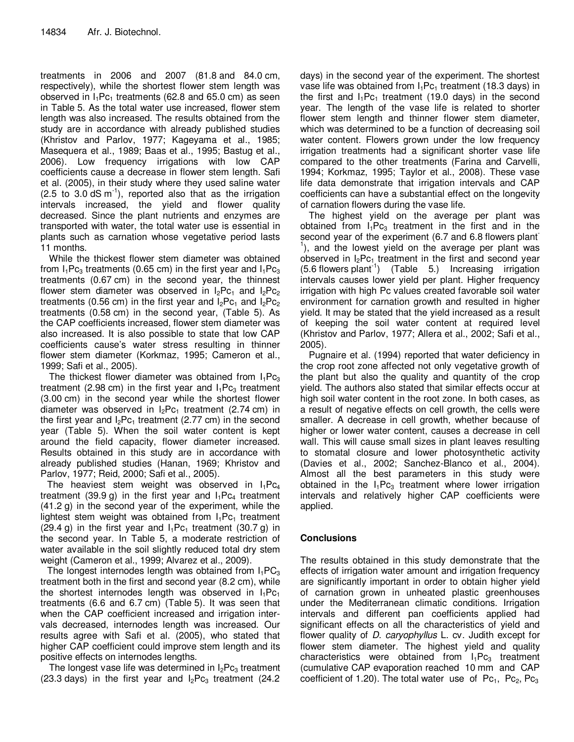treatments in 2006 and 2007 (81.8 and 84.0 cm, respectively), while the shortest flower stem length was observed in  $I_1Pc_1$  treatments (62.8 and 65.0 cm) as seen in Table 5. As the total water use increased, flower stem length was also increased. The results obtained from the study are in accordance with already published studies (Khristov and Parlov, 1977; Kageyama et al., 1985; Masequera et al., 1989; Baas et al., 1995; Bastug et al., 2006). Low frequency irrigations with low CAP coefficients cause a decrease in flower stem length. Safi et al. (2005), in their study where they used saline water  $(2.5 \text{ to } 3.0 \text{ dS m}^{-1})$ , reported also that as the irrigation intervals increased, the yield and flower quality decreased. Since the plant nutrients and enzymes are transported with water, the total water use is essential in plants such as carnation whose vegetative period lasts 11 months.

While the thickest flower stem diameter was obtained from  $I_1Pc_3$  treatments (0.65 cm) in the first year and  $I_1Pc_3$ treatments (0.67 cm) in the second year, the thinnest flower stem diameter was observed in  $I_2Pc_1$  and  $I_2Pc_2$ treatments (0.56 cm) in the first year and  $I_2PC_1$  and  $I_2PC_2$ treatments (0.58 cm) in the second year, (Table 5). As the CAP coefficients increased, flower stem diameter was also increased. It is also possible to state that low CAP coefficients cause's water stress resulting in thinner flower stem diameter (Korkmaz, 1995; Cameron et al., 1999; Safi et al., 2005).

The thickest flower diameter was obtained from  $I_1Pc_3$ treatment (2.98 cm) in the first year and  $I_1Pc_3$  treatment (3.00 cm) in the second year while the shortest flower diameter was observed in  $I_2Pc_1$  treatment (2.74 cm) in the first year and  $I_2Pc_1$  treatment (2.77 cm) in the second year (Table 5). When the soil water content is kept around the field capacity, flower diameter increased. Results obtained in this study are in accordance with already published studies (Hanan, 1969; Khristov and Parlov, 1977; Reid, 2000; Safi et al., 2005).

The heaviest stem weight was observed in  $I_1Pc_4$ treatment (39.9 g) in the first year and  $I_1PC_4$  treatment (41.2 g) in the second year of the experiment, while the lightest stem weight was obtained from  $I_1Pc_1$  treatment  $(29.4 g)$  in the first year and  $I_1Pc_1$  treatment  $(30.7 g)$  in the second year. In Table 5, a moderate restriction of water available in the soil slightly reduced total dry stem weight (Cameron et al., 1999; Alvarez et al., 2009).

The longest internodes length was obtained from  $I_1PC_3$ treatment both in the first and second year (8.2 cm), while the shortest internodes length was observed in  $I_1Pc_1$ treatments (6.6 and 6.7 cm) (Table 5). It was seen that when the CAP coefficient increased and irrigation intervals decreased, internodes length was increased. Our results agree with Safi et al. (2005), who stated that higher CAP coefficient could improve stem length and its positive effects on internodes lengths.

The longest vase life was determined in  $I_2Pc_3$  treatment (23.3 days) in the first year and  $I_2Pc_3$  treatment (24.2

days) in the second year of the experiment. The shortest vase life was obtained from  $I_1Pc_1$  treatment (18.3 days) in the first and  $I_1Pc_1$  treatment (19.0 days) in the second year. The length of the vase life is related to shorter flower stem length and thinner flower stem diameter, which was determined to be a function of decreasing soil water content. Flowers grown under the low frequency irrigation treatments had a significant shorter vase life compared to the other treatments (Farina and Carvelli, 1994; Korkmaz, 1995; Taylor et al., 2008). These vase life data demonstrate that irrigation intervals and CAP coefficients can have a substantial effect on the longevity of carnation flowers during the vase life.

The highest yield on the average per plant was obtained from  $I_1Pc_3$  treatment in the first and in the second year of the experiment (6.7 and 6.8 flowers plant-<sup>1</sup>), and the lowest yield on the average per plant was observed in  $I_2Pc_1$  treatment in the first and second year  $(5.6$  flowers plant<sup>-1</sup>)  $(Table 5)$  Increasing irrigation intervals causes lower yield per plant. Higher frequency irrigation with high Pc values created favorable soil water environment for carnation growth and resulted in higher yield. It may be stated that the yield increased as a result of keeping the soil water content at required level (Khristov and Parlov, 1977; Allera et al., 2002; Safi et al., 2005).

Pugnaire et al. (1994) reported that water deficiency in the crop root zone affected not only vegetative growth of the plant but also the quality and quantity of the crop yield. The authors also stated that similar effects occur at high soil water content in the root zone. In both cases, as a result of negative effects on cell growth, the cells were smaller. A decrease in cell growth, whether because of higher or lower water content, causes a decrease in cell wall. This will cause small sizes in plant leaves resulting to stomatal closure and lower photosynthetic activity (Davies et al., 2002; Sanchez-Blanco et al., 2004). Almost all the best parameters in this study were obtained in the  $I_1Pc_3$  treatment where lower irrigation intervals and relatively higher CAP coefficients were applied.

# **Conclusions**

The results obtained in this study demonstrate that the effects of irrigation water amount and irrigation frequency are significantly important in order to obtain higher yield of carnation grown in unheated plastic greenhouses under the Mediterranean climatic conditions. Irrigation intervals and different pan coefficients applied had significant effects on all the characteristics of yield and flower quality of *D. caryophyllus* L. cv. Judith except for flower stem diameter. The highest yield and quality characteristics were obtained from  $I_1Pc_3$  treatment (cumulative CAP evaporation reached 10 mm and CAP coefficient of 1.20). The total water use of  $Pc_1$ ,  $Pc_2$ ,  $Pc_3$